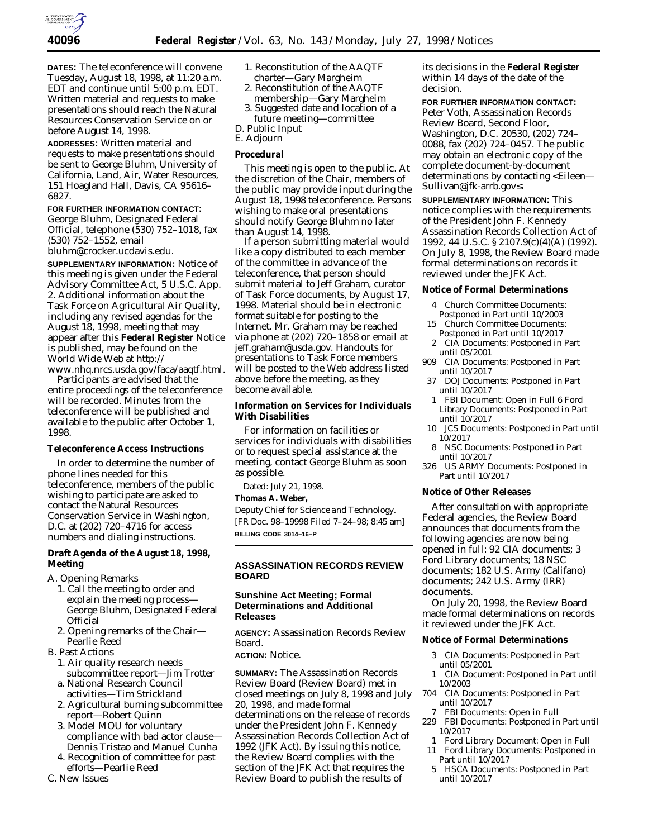

**DATES:** The teleconference will convene Tuesday, August 18, 1998, at 11:20 a.m. EDT and continue until 5:00 p.m. EDT. Written material and requests to make presentations should reach the Natural Resources Conservation Service on or before August 14, 1998.

**ADDRESSES:** Written material and requests to make presentations should be sent to George Bluhm, University of California, Land, Air, Water Resources, 151 Hoagland Hall, Davis, CA 95616– 6827.

**FOR FURTHER INFORMATION CONTACT:** George Bluhm, Designated Federal Official, telephone (530) 752–1018, fax (530) 752–1552, email bluhm@crocker.ucdavis.edu.

**SUPPLEMENTARY INFORMATION:** Notice of this meeting is given under the Federal Advisory Committee Act, 5 U.S.C. App. 2. Additional information about the Task Force on Agricultural Air Quality, including any revised agendas for the August 18, 1998, meeting that may appear after this **Federal Register** Notice is published, may be found on the World Wide Web at http://

www.nhq.nrcs.usda.gov/faca/aaqtf.html. Participants are advised that the entire proceedings of the teleconference will be recorded. Minutes from the teleconference will be published and available to the public after October 1, 1998.

## **Teleconference Access Instructions**

In order to determine the number of phone lines needed for this teleconference, members of the public wishing to participate are asked to contact the Natural Resources Conservation Service in Washington, D.C. at (202) 720–4716 for access numbers and dialing instructions.

# **Draft Agenda of the August 18, 1998, Meeting**

- A. Opening Remarks
	- 1. Call the meeting to order and explain the meeting process— George Bluhm, Designated Federal Official
	- 2. Opening remarks of the Chair— Pearlie Reed
- B. Past Actions
	- 1. Air quality research needs subcommittee report—Jim Trotter
	- a. National Research Council activities—Tim Strickland
	- 2. Agricultural burning subcommittee report—Robert Quinn
	- 3. Model MOU for voluntary compliance with bad actor clause— Dennis Tristao and Manuel Cunha
	- 4. Recognition of committee for past efforts—Pearlie Reed
- C. New Issues
- 1. Reconstitution of the AAQTF charter—Gary Margheim
- 2. Reconstitution of the AAQTF
- membership—Gary Margheim 3. Suggested date and location of a
- future meeting—committee D. Public Input
- E. Adjourn

## **Procedural**

This meeting is open to the public. At the discretion of the Chair, members of the public may provide input during the August 18, 1998 teleconference. Persons wishing to make oral presentations should notify George Bluhm no later than August 14, 1998.

If a person submitting material would like a copy distributed to each member of the committee in advance of the teleconference, that person should submit material to Jeff Graham, curator of Task Force documents, by August 17, 1998. Material should be in electronic format suitable for posting to the Internet. Mr. Graham may be reached via phone at (202) 720–1858 or email at *jeff.graham@usda.gov.* Handouts for presentations to Task Force members will be posted to the Web address listed above before the meeting, as they become available.

# **Information on Services for Individuals With Disabilities**

For information on facilities or services for individuals with disabilities or to request special assistance at the meeting, contact George Bluhm as soon as possible.

Dated: July 21, 1998.

### **Thomas A. Weber,**

*Deputy Chief for Science and Technology.* [FR Doc. 98–19998 Filed 7–24–98; 8:45 am] **BILLING CODE 3014–16–P**

# **ASSASSINATION RECORDS REVIEW BOARD**

## **Sunshine Act Meeting; Formal Determinations and Additional Releases**

**AGENCY:** Assassination Records Review Board.

**ACTION:** Notice.

**SUMMARY:** The Assassination Records Review Board (Review Board) met in closed meetings on July 8, 1998 and July 20, 1998, and made formal determinations on the release of records under the President John F. Kennedy Assassination Records Collection Act of 1992 (JFK Act). By issuing this notice, the Review Board complies with the section of the JFK Act that requires the Review Board to publish the results of

its decisions in the **Federal Register** within 14 days of the date of the decision.

**FOR FURTHER INFORMATION CONTACT:** Peter Voth, Assassination Records Review Board, Second Floor, Washington, D.C. 20530, (202) 724– 0088, fax (202) 724–0457. The public may obtain an electronic copy of the complete document-by-document determinations by contacting <Eileen— Sullivan@jfk-arrb.gov≤.

**SUPPLEMENTARY INFORMATION:** This notice complies with the requirements of the President John F. Kennedy Assassination Records Collection Act of 1992, 44 U.S.C. § 2107.9(c)(4)(A) (1992). On July 8, 1998, the Review Board made formal determinations on records it reviewed under the JFK Act.

#### **Notice of Formal Determinations**

- 4 Church Committee Documents:
- Postponed in Part until 10/2003 15 Church Committee Documents:
- Postponed in Part until 10/2017
- 2 CIA Documents: Postponed in Part until 05/2001
- 909 CIA Documents: Postponed in Part until 10/2017
- 37 DOJ Documents: Postponed in Part until 10/2017
- 1 FBI Document: Open in Full 6 Ford Library Documents: Postponed in Part until 10/2017
- 10 JCS Documents: Postponed in Part until 10/2017
- 8 NSC Documents: Postponed in Part until 10/2017
- 326 US ARMY Documents: Postponed in Part until 10/2017

### **Notice of Other Releases**

After consultation with appropriate Federal agencies, the Review Board announces that documents from the following agencies are now being opened in full: 92 CIA documents; 3 Ford Library documents; 18 NSC documents; 182 U.S. Army (Califano) documents; 242 U.S. Army (IRR) documents.

On July 20, 1998, the Review Board made formal determinations on records it reviewed under the JFK Act.

# **Notice of Formal Determinations**

- 3 CIA Documents: Postponed in Part until 05/2001
- 1 CIA Document: Postponed in Part until 10/2003
- 704 CIA Documents: Postponed in Part until 10/2017
	- 7 FBI Documents: Open in Full
- 229 FBI Documents: Postponed in Part until 10/2017
- 1 Ford Library Document: Open in Full
- 11 Ford Library Documents: Postponed in Part until 10/2017
- 5 HSCA Documents: Postponed in Part until 10/2017